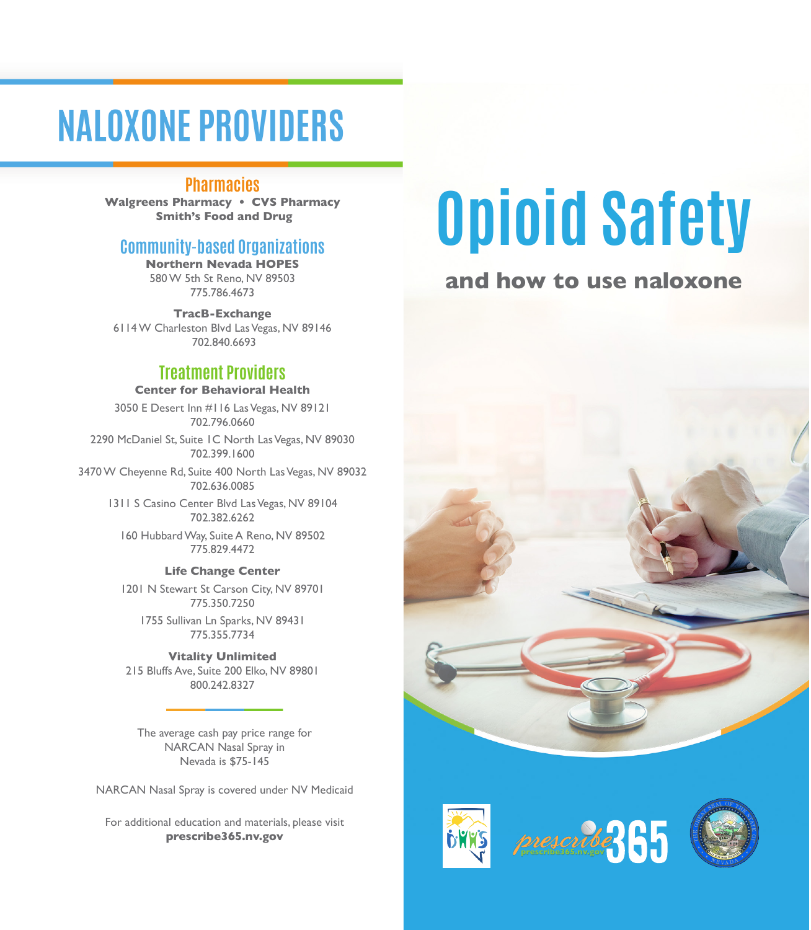# **NALOXONE PROVIDERS**

## **Pharmacies**

**Walgreens Pharmacy • CVS Pharmacy Smith's Food and Drug**

# **Community-based Organizations**

**Northern Nevada HOPES** 580 W 5th St Reno, NV 89503 775.786.4673

**TracB-Exchange** 6114 W Charleston Blvd Las Vegas, NV 89146 702.840.6693

# **Treatment Providers**

### **Center for Behavioral Health**

3050 E Desert Inn #116 Las Vegas, NV 89121 702.796.0660

2290 McDaniel St, Suite 1C North Las Vegas, NV 89030 702.399.1600

3470 W Cheyenne Rd, Suite 400 North Las Vegas, NV 89032 702.636.0085

> 1311 S Casino Center Blvd Las Vegas, NV 89104 702.382.6262

160 Hubbard Way, Suite A Reno, NV 89502 775.829.4472

#### **Life Change Center**

1201 N Stewart St Carson City, NV 89701 775.350.7250

1755 Sullivan Ln Sparks, NV 89431 775.355.7734

**Vitality Unlimited** 215 Bluffs Ave, Suite 200 Elko, NV 89801 800.242.8327

The average cash pay price range for NARCAN Nasal Spray in Nevada is \$75-145

NARCAN Nasal Spray is covered under NV Medicaid

For additional education and materials, please visit **prescribe365.nv.gov**

# **Opioid Safety**

# **and how to use naloxone**